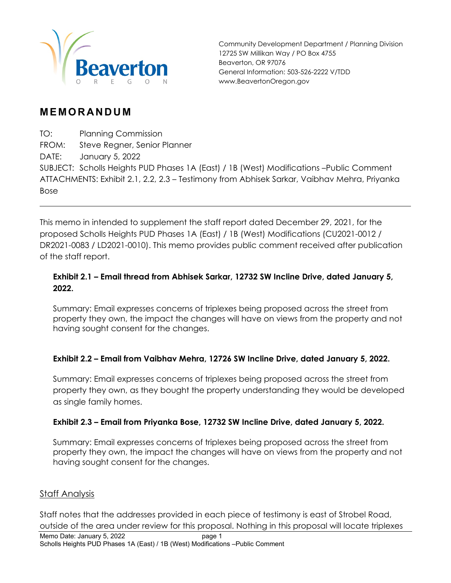

Community Development Department / Planning Division 12725 SW Millikan Way / PO Box 4755 Beaverton, OR 97076 General Information: 503-526-2222 V/TDD www.BeavertonOregon.gov

### **MEMORANDUM**

TO: Planning Commission

FROM: Steve Regner, Senior Planner

DATE: January 5, 2022

SUBJECT: Scholls Heights PUD Phases 1A (East) / 1B (West) Modifications –Public Comment ATTACHMENTS: Exhibit 2.1, 2.2, 2.3 – Testimony from Abhisek Sarkar, Vaibhav Mehra, Priyanka Bose

This memo in intended to supplement the staff report dated December 29, 2021, for the proposed Scholls Heights PUD Phases 1A (East) / 1B (West) Modifications (CU2021-0012 / DR2021-0083 / LD2021-0010). This memo provides public comment received after publication of the staff report.

#### **Exhibit 2.1 – Email thread from Abhisek Sarkar, 12732 SW Incline Drive, dated January 5, 2022.**

Summary: Email expresses concerns of triplexes being proposed across the street from property they own, the impact the changes will have on views from the property and not having sought consent for the changes.

### **Exhibit 2.2 – Email from Vaibhav Mehra, 12726 SW Incline Drive, dated January 5, 2022.**

Summary: Email expresses concerns of triplexes being proposed across the street from property they own, as they bought the property understanding they would be developed as single family homes.

#### **Exhibit 2.3 – Email from Priyanka Bose, 12732 SW Incline Drive, dated January 5, 2022.**

Summary: Email expresses concerns of triplexes being proposed across the street from property they own, the impact the changes will have on views from the property and not having sought consent for the changes.

### Staff Analysis

Staff notes that the addresses provided in each piece of testimony is east of Strobel Road, outside of the area under review for this proposal. Nothing in this proposal will locate triplexes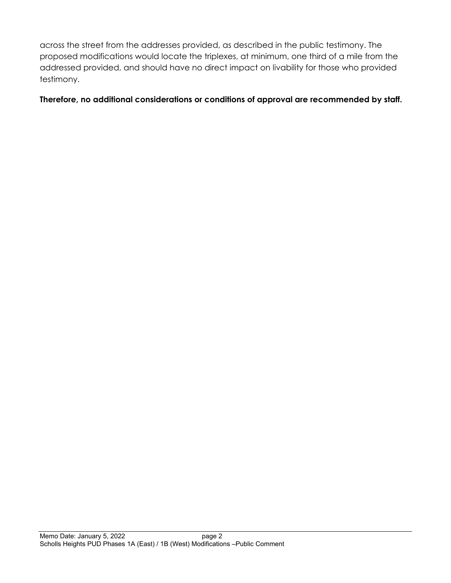across the street from the addresses provided, as described in the public testimony. The proposed modifications would locate the triplexes, at minimum, one third of a mile from the addressed provided, and should have no direct impact on livability for those who provided testimony.

**Therefore, no additional considerations or conditions of approval are recommended by staff.**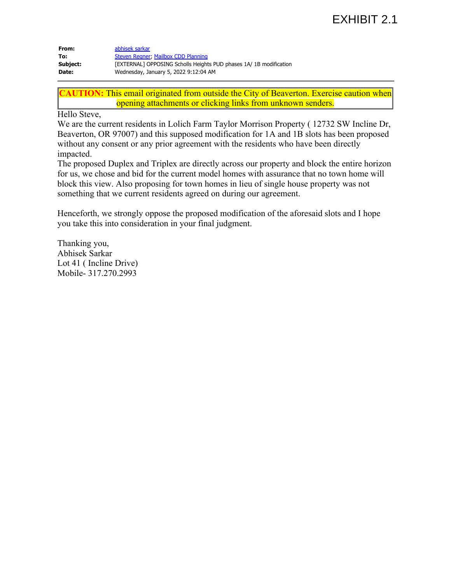## EXHIBIT 2.1

| From:    | abhisek sarkar                                                    |
|----------|-------------------------------------------------------------------|
| To:      | Steven Regner, Mailbox CDD Planning                               |
| Subject: | [EXTERNAL] OPPOSING Scholls Heights PUD phases 1A/1B modification |
| Date:    | Wednesday, January 5, 2022 9:12:04 AM                             |

**CAUTION:** This email originated from outside the City of Beaverton. Exercise caution when opening attachments or clicking links from unknown senders.

Hello Steve,

We are the current residents in Lolich Farm Taylor Morrison Property ( 12732 SW Incline Dr, Beaverton, OR 97007) and this supposed modification for 1A and 1B slots has been proposed without any consent or any prior agreement with the residents who have been directly impacted.

The proposed Duplex and Triplex are directly across our property and block the entire horizon for us, we chose and bid for the current model homes with assurance that no town home will block this view. Also proposing for town homes in lieu of single house property was not something that we current residents agreed on during our agreement.

Henceforth, we strongly oppose the proposed modification of the aforesaid slots and I hope you take this into consideration in your final judgment.

Thanking you, Abhisek Sarkar Lot 41 ( Incline Drive) Mobile- 317.270.2993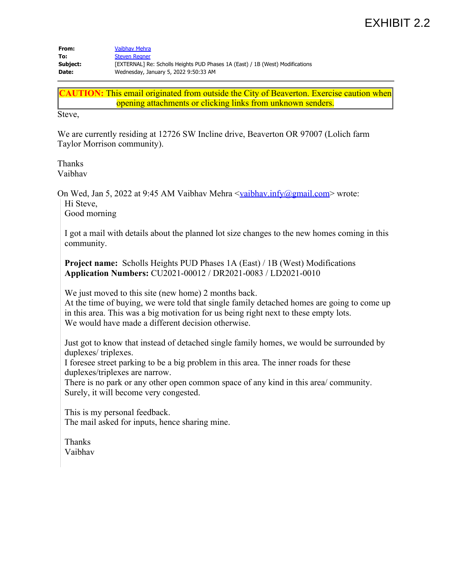# EXHIBIT 2.2

| From:    | <b>Vaibhav Mehra</b>                                                          |
|----------|-------------------------------------------------------------------------------|
| To:      | <b>Steven Regner</b>                                                          |
| Subject: | [EXTERNAL] Re: Scholls Heights PUD Phases 1A (East) / 1B (West) Modifications |
| Date:    | Wednesday, January 5, 2022 9:50:33 AM                                         |

**CAUTION:** This email originated from outside the City of Beaverton. Exercise caution when opening attachments or clicking links from unknown senders.

Steve,

We are currently residing at 12726 SW Incline drive, Beaverton OR 97007 (Lolich farm Taylor Morrison community).

Thanks Vaibhav

On Wed, Jan 5, 2022 at 9:45 AM Vaibhav Mehra  $\frac{\text{vaibhav.infy@gmail.com}}{\text{vagmail.com}}$  wrote:

Hi Steve,

Good morning

I got a mail with details about the planned lot size changes to the new homes coming in this community.

**Project name:** Scholls Heights PUD Phases 1A (East) / 1B (West) Modifications **Application Numbers:** CU2021-00012 / DR2021-0083 / LD2021-0010

We just moved to this site (new home) 2 months back.

At the time of buying, we were told that single family detached homes are going to come up in this area. This was a big motivation for us being right next to these empty lots. We would have made a different decision otherwise.

Just got to know that instead of detached single family homes, we would be surrounded by duplexes/ triplexes.

I foresee street parking to be a big problem in this area. The inner roads for these duplexes/triplexes are narrow.

There is no park or any other open common space of any kind in this area/ community. Surely, it will become very congested.

This is my personal feedback. The mail asked for inputs, hence sharing mine.

Thanks Vaibhav